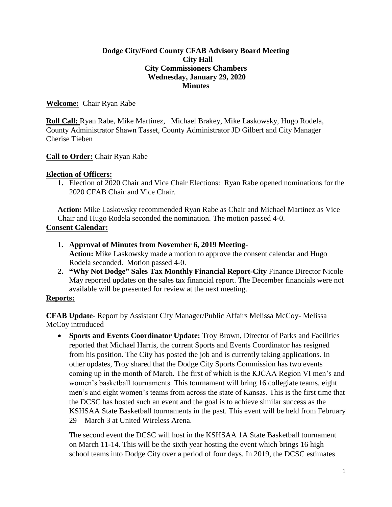## **Dodge City/Ford County CFAB Advisory Board Meeting City Hall City Commissioners Chambers Wednesday, January 29, 2020 Minutes**

## **Welcome:** Chair Ryan Rabe

**Roll Call:** Ryan Rabe, Mike Martinez, Michael Brakey, Mike Laskowsky, Hugo Rodela, County Administrator Shawn Tasset, County Administrator JD Gilbert and City Manager Cherise Tieben

### **Call to Order:** Chair Ryan Rabe

### **Election of Officers:**

**1.** Election of 2020 Chair and Vice Chair Elections: Ryan Rabe opened nominations for the 2020 CFAB Chair and Vice Chair.

**Action:** Mike Laskowsky recommended Ryan Rabe as Chair and Michael Martinez as Vice Chair and Hugo Rodela seconded the nomination. The motion passed 4-0. **Consent Calendar:**

- **1. Approval of Minutes from November 6, 2019 Meeting**-**Action:** Mike Laskowsky made a motion to approve the consent calendar and Hugo Rodela seconded. Motion passed 4-0.
- **2. "Why Not Dodge" Sales Tax Monthly Financial Report-City** Finance Director Nicole May reported updates on the sales tax financial report. The December financials were not available will be presented for review at the next meeting.

# **Reports:**

**CFAB Update**- Report by Assistant City Manager/Public Affairs Melissa McCoy- Melissa McCoy introduced

 **Sports and Events Coordinator Update:** Troy Brown, Director of Parks and Facilities reported that Michael Harris, the current Sports and Events Coordinator has resigned from his position. The City has posted the job and is currently taking applications. In other updates, Troy shared that the Dodge City Sports Commission has two events coming up in the month of March. The first of which is the KJCAA Region VI men's and women's basketball tournaments. This tournament will bring 16 collegiate teams, eight men's and eight women's teams from across the state of Kansas. This is the first time that the DCSC has hosted such an event and the goal is to achieve similar success as the KSHSAA State Basketball tournaments in the past. This event will be held from February 29 – March 3 at United Wireless Arena.

The second event the DCSC will host in the KSHSAA 1A State Basketball tournament on March 11-14. This will be the sixth year hosting the event which brings 16 high school teams into Dodge City over a period of four days. In 2019, the DCSC estimates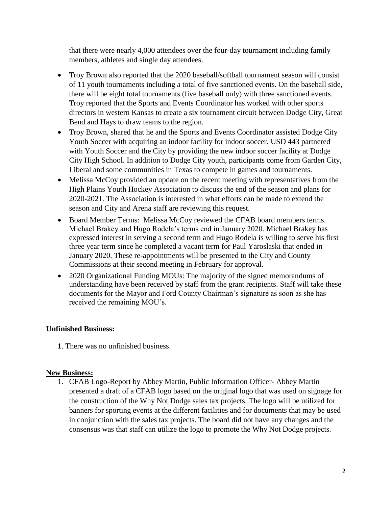that there were nearly 4,000 attendees over the four-day tournament including family members, athletes and single day attendees.

- Troy Brown also reported that the 2020 baseball/softball tournament season will consist of 11 youth tournaments including a total of five sanctioned events. On the baseball side, there will be eight total tournaments (five baseball only) with three sanctioned events. Troy reported that the Sports and Events Coordinator has worked with other sports directors in western Kansas to create a six tournament circuit between Dodge City, Great Bend and Hays to draw teams to the region.
- Troy Brown, shared that he and the Sports and Events Coordinator assisted Dodge City Youth Soccer with acquiring an indoor facility for indoor soccer. USD 443 partnered with Youth Soccer and the City by providing the new indoor soccer facility at Dodge City High School. In addition to Dodge City youth, participants come from Garden City, Liberal and some communities in Texas to compete in games and tournaments.
- Melissa McCoy provided an update on the recent meeting with representatives from the High Plains Youth Hockey Association to discuss the end of the season and plans for 2020-2021. The Association is interested in what efforts can be made to extend the season and City and Arena staff are reviewing this request.
- Board Member Terms: Melissa McCoy reviewed the CFAB board members terms. Michael Brakey and Hugo Rodela's terms end in January 2020. Michael Brakey has expressed interest in serving a second term and Hugo Rodela is willing to serve his first three year term since he completed a vacant term for Paul Yaroslaski that ended in January 2020. These re-appointments will be presented to the City and County Commissions at their second meeting in February for approval.
- 2020 Organizational Funding MOUs: The majority of the signed memorandums of understanding have been received by staff from the grant recipients. Staff will take these documents for the Mayor and Ford County Chairman's signature as soon as she has received the remaining MOU's.

# **Unfinished Business:**

**1**. There was no unfinished business.

# **New Business:**

1. CFAB Logo-Report by Abbey Martin, Public Information Officer- Abbey Martin presented a draft of a CFAB logo based on the original logo that was used on signage for the construction of the Why Not Dodge sales tax projects. The logo will be utilized for banners for sporting events at the different facilities and for documents that may be used in conjunction with the sales tax projects. The board did not have any changes and the consensus was that staff can utilize the logo to promote the Why Not Dodge projects.